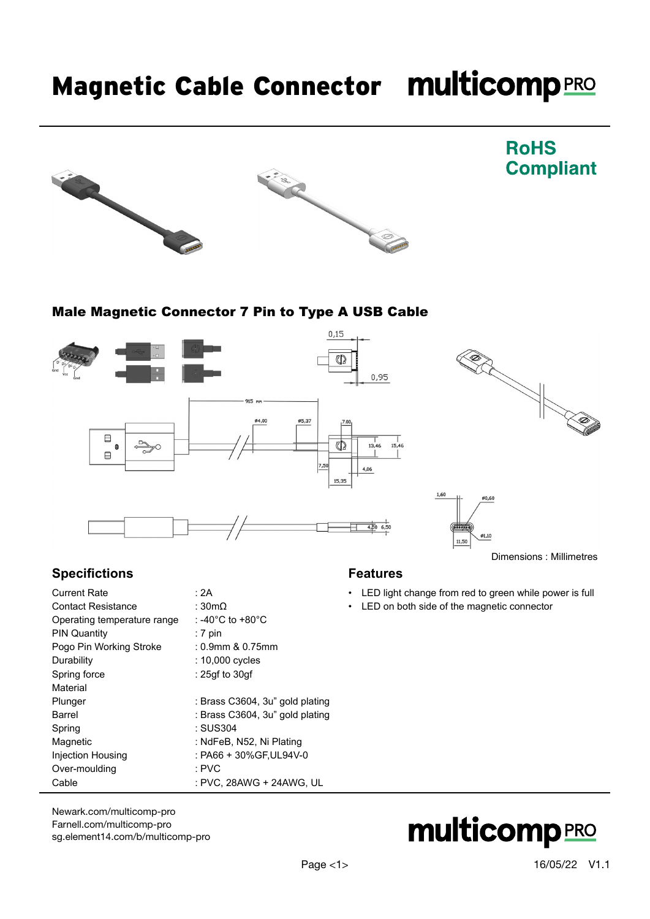## Magnetic Cable Connector multicomp PRO





### **RoHS Compliant**

### Male Magnetic Connector 7 Pin to Type A USB Cable



### **Specifictions**

| <b>Current Rate</b>         | : 2A                            |
|-----------------------------|---------------------------------|
| <b>Contact Resistance</b>   | : $30m\Omega$                   |
| Operating temperature range | : -40°C to +80°C                |
| <b>PIN Quantity</b>         | $:7$ pin                        |
| Pogo Pin Working Stroke     | : 0.9mm & 0.75mm                |
| Durability                  | : 10,000 cycles                 |
| Spring force                | : 25gf to 30gf                  |
| Material                    |                                 |
| Plunger                     | : Brass C3604, 3u" gold plating |
| Barrel                      | : Brass C3604, 3u" gold plating |
| Spring                      | : SUS304                        |
| Magnetic                    | : NdFeB, N52, Ni Plating        |
| Injection Housing           | : PA66 + 30%GF.UL94V-0          |
| Over-moulding               | : PVC                           |
| Cable                       | : PVC. 28AWG + 24AWG. UL        |
|                             |                                 |

### [Newark.com/multicomp-](https://www.newark.com/multicomp-pro)pro [Farnell.com/multicomp](https://www.farnell.com/multicomp-pro)-pro [sg.element14.com/b/multicomp-pro](https://sg.element14.com/b/multicomp-pro)

### **Features**

- LED light change from red to green while power is full
- LED on both side of the magnetic connector

# **multicomp**PRO